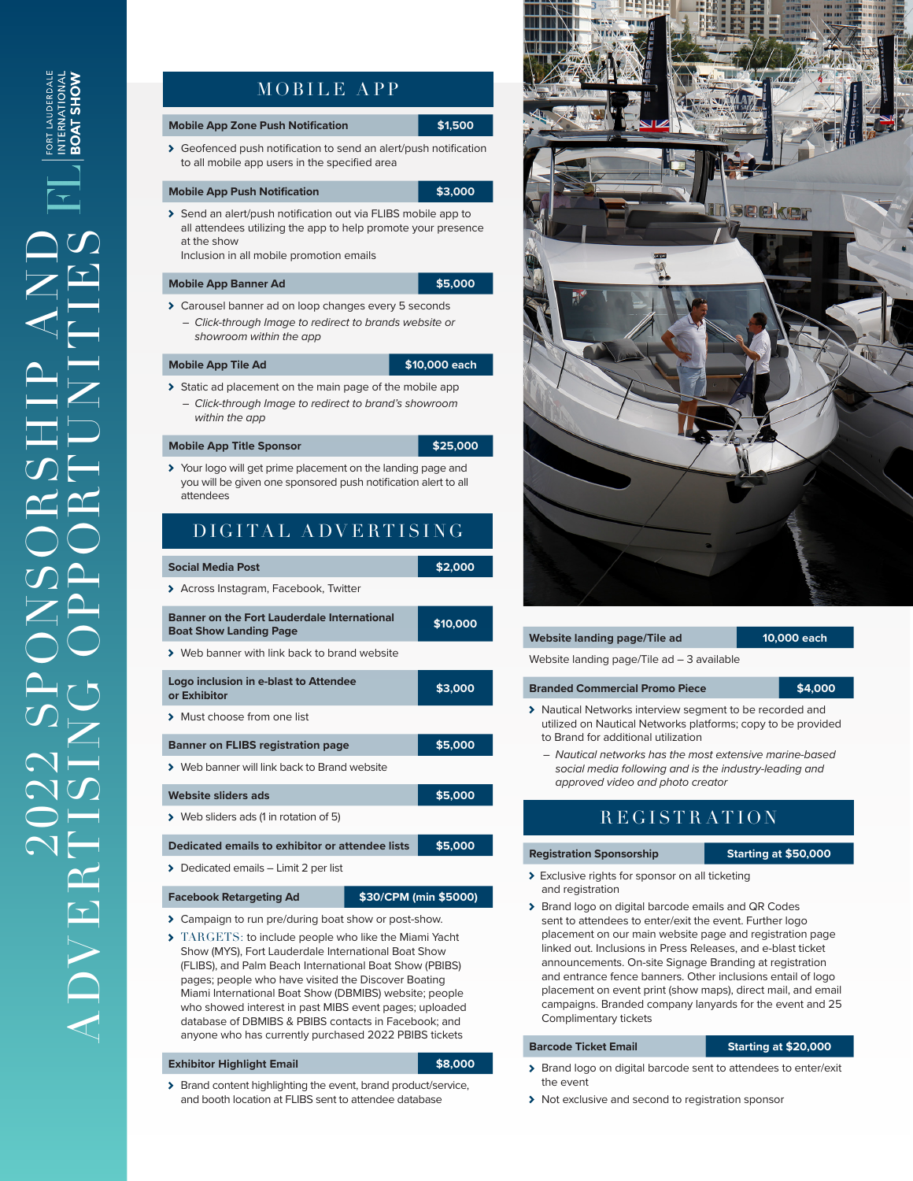# MOBILE APP

### **Mobile App Zone Push Notification 1996 \$1,500**

Geofenced push notification to send an alert/push notification to all mobile app users in the specified area

### **Mobile App Push Notification 1999 12:3000**

> Send an alert/push notification out via FLIBS mobile app to all attendees utilizing the app to help promote your presence at the show

Inclusion in all mobile promotion emails

### **Mobile App Banner Ad #65,000 \$5,000**

- Carousel banner ad on loop changes every 5 seconds
	- *– Click-through Image to redirect to brands website or showroom within the app*

### **Mobile App Tile Ad \$10,000 each**

- Static ad placement on the main page of the mobile app
	- *– Click-through Image to redirect to brand's showroom within the app*

## **Mobile App Title Sponsor 1999 12:5000 <b>\$25,000**

> Your logo will get prime placement on the landing page and you will be given one sponsored push notification alert to all attendees

# DIGITAL ADVERTISING

## **Social Media Post 1989 \$2,000**

> Across Instagram, Facebook, Twitter

| <b>Banner on the Fort Lauderdale International</b><br><b>Boat Show Landing Page</b> | \$10,000 |
|-------------------------------------------------------------------------------------|----------|
| > Web banner with link back to brand website                                        |          |
| Logo inclusion in e-blast to Attendee<br>or Exhibitor                               | \$3,000  |
| > Must choose from one list                                                         |          |
| <b>Banner on FLIBS registration page</b>                                            | \$5,000  |
| > Web banner will link back to Brand website                                        |          |
| Website sliders ads                                                                 | \$5,000  |
| ▶ Web sliders ads (1 in rotation of 5)                                              |          |
| Dedicated emails to exhibitor or attendee lists                                     | \$5,000  |

> Dedicated emails - Limit 2 per list

### **Facebook Retargeting Ad \$30/CPM (min \$5000)**

- Campaign to run pre/during boat show or post-show.
- TARGETS: to include people who like the Miami Yacht Show (MYS), Fort Lauderdale International Boat Show (FLIBS), and Palm Beach International Boat Show (PBIBS) pages; people who have visited the Discover Boating Miami International Boat Show (DBMIBS) website; people who showed interest in past MIBS event pages; uploaded database of DBMIBS & PBIBS contacts in Facebook; and anyone who has currently purchased 2022 PBIBS tickets

### **Exhibitor Highlight Email \$8,000**

> Brand content highlighting the event, brand product/service, and booth location at FLIBS sent to attendee database



# **Website landing page/Tile ad 10,000 each**

Website landing page/Tile ad – 3 available

### **Branded Commercial Promo Piece <b>\$4,000**

- > Nautical Networks interview segment to be recorded and utilized on Nautical Networks platforms; copy to be provided to Brand for additional utilization
	- *– Nautical networks has the most extensive marine-based social media following and is the industry-leading and approved video and photo creator*

# **REGISTRATION**

# **Registration Sponsorship Starting at \$50,000**

- 
- Exclusive rights for sponsor on all ticketing and registration
- > Brand logo on digital barcode emails and QR Codes sent to attendees to enter/exit the event. Further logo placement on our main website page and registration page linked out. Inclusions in Press Releases, and e-blast ticket announcements. On-site Signage Branding at registration and entrance fence banners. Other inclusions entail of logo placement on event print (show maps), direct mail, and email campaigns. Branded company lanyards for the event and 25 Complimentary tickets

## **Barcode Ticket Email Starting at \$20,000**

- > Brand logo on digital barcode sent to attendees to enter/exit the event
- > Not exclusive and second to registration sponsor